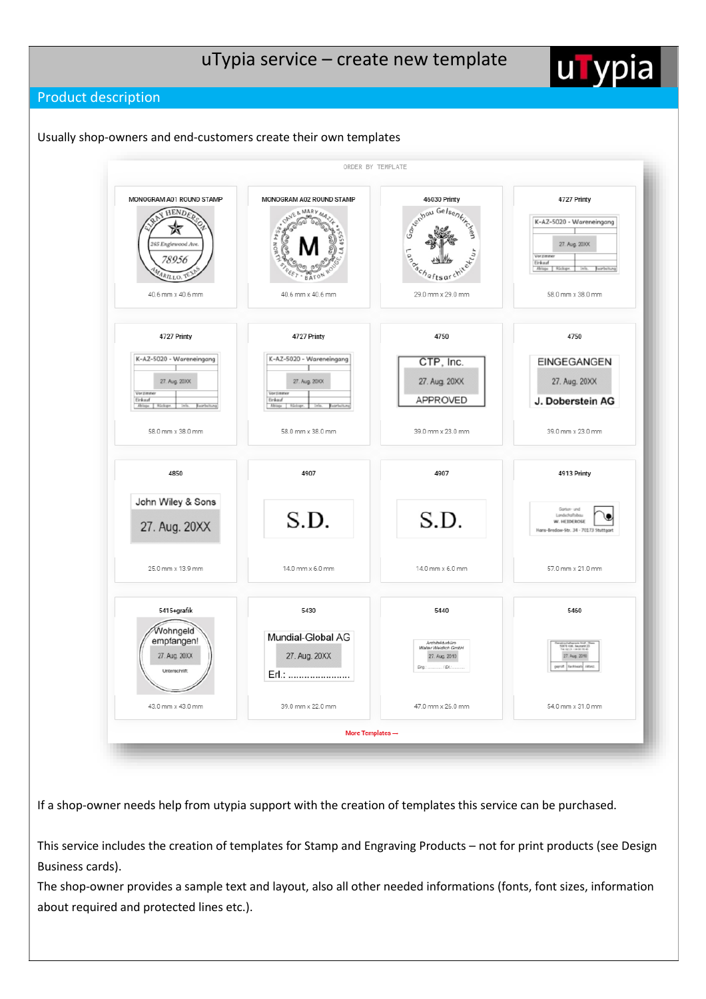**u** 

# Product description





If a shop-owner needs help from utypia support with the creation of templates this service can be purchased.

This service includes the creation of templates for Stamp and Engraving Products – not for print products (see Design Business cards).

The shop-owner provides a sample text and layout, also all other needed informations (fonts, font sizes, information about required and protected lines etc.).